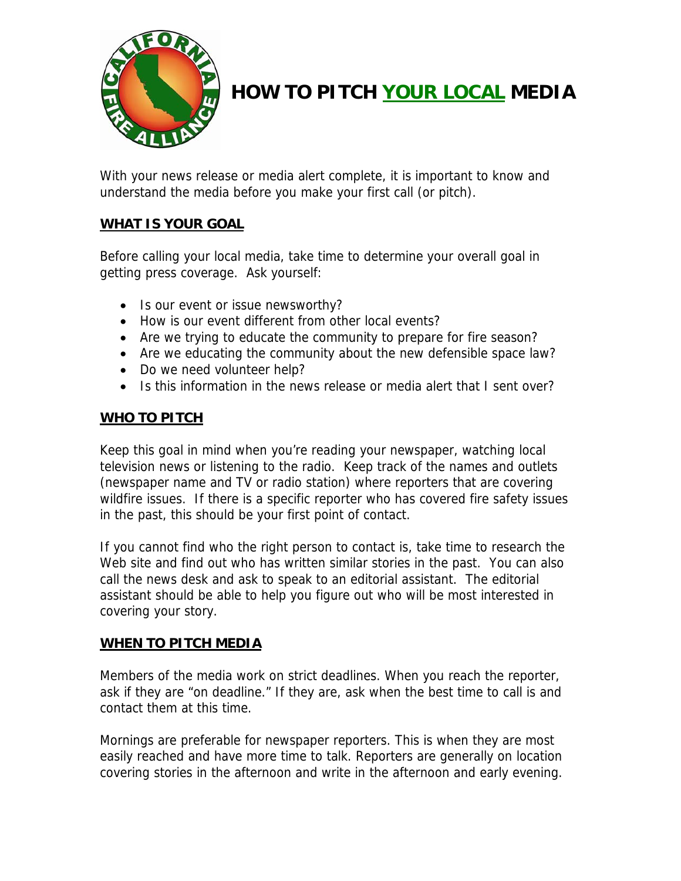

# **HOW TO PITCH YOUR LOCAL MEDIA**

With your news release or media alert complete, it is important to know and understand the media before you make your first call (or pitch).

## **WHAT IS YOUR GOAL**

Before calling your local media, take time to determine your overall goal in getting press coverage. Ask yourself:

- Is our event or issue newsworthy?
- How is our event different from other local events?
- Are we trying to educate the community to prepare for fire season?
- Are we educating the community about the new defensible space law?
- Do we need volunteer help?
- Is this information in the news release or media alert that I sent over?

## **WHO TO PITCH**

Keep this goal in mind when you're reading your newspaper, watching local television news or listening to the radio. Keep track of the names and outlets (newspaper name and TV or radio station) where reporters that are covering wildfire issues. If there is a specific reporter who has covered fire safety issues in the past, this should be your first point of contact.

If you cannot find who the right person to contact is, take time to research the Web site and find out who has written similar stories in the past. You can also call the news desk and ask to speak to an editorial assistant. The editorial assistant should be able to help you figure out who will be most interested in covering your story.

#### **WHEN TO PITCH MEDIA**

Members of the media work on strict deadlines. When you reach the reporter, ask if they are "on deadline." If they are, ask when the best time to call is and contact them at this time.

Mornings are preferable for newspaper reporters. This is when they are most easily reached and have more time to talk. Reporters are generally on location covering stories in the afternoon and write in the afternoon and early evening.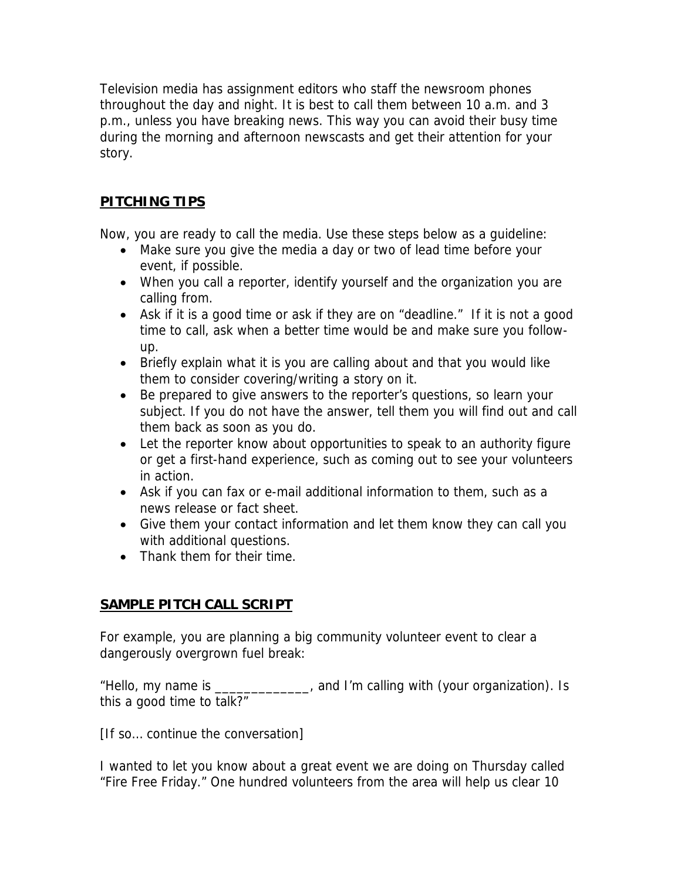Television media has assignment editors who staff the newsroom phones throughout the day and night. It is best to call them between 10 a.m. and 3 p.m., unless you have breaking news. This way you can avoid their busy time during the morning and afternoon newscasts and get their attention for your story.

# **PITCHING TIPS**

Now, you are ready to call the media. Use these steps below as a guideline:

- Make sure you give the media a day or two of lead time before your event, if possible.
- When you call a reporter, identify yourself and the organization you are calling from.
- Ask if it is a good time or ask if they are on "deadline." If it is not a good time to call, ask when a better time would be and make sure you followup.
- Briefly explain what it is you are calling about and that you would like them to consider covering/writing a story on it.
- Be prepared to give answers to the reporter's questions, so learn your subject. If you do not have the answer, tell them you will find out and call them back as soon as you do.
- Let the reporter know about opportunities to speak to an authority figure or get a first-hand experience, such as coming out to see your volunteers in action.
- Ask if you can fax or e-mail additional information to them, such as a news release or fact sheet.
- Give them your contact information and let them know they can call you with additional questions.
- Thank them for their time.

## **SAMPLE PITCH CALL SCRIPT**

For example, you are planning a big community volunteer event to clear a dangerously overgrown fuel break:

"Hello, my name is \_\_\_\_\_\_\_\_\_\_\_\_\_, and I'm calling with (your organization). Is this a good time to talk?"

[If so… continue the conversation]

I wanted to let you know about a great event we are doing on Thursday called "Fire Free Friday." One hundred volunteers from the area will help us clear 10